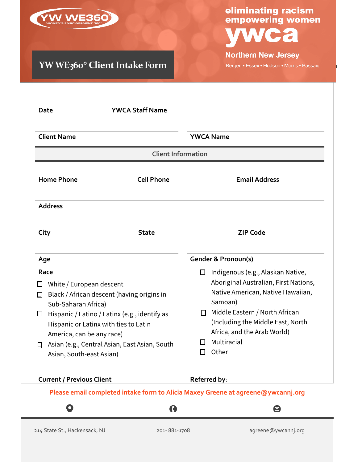

### **YW WE360**° **Client Intake Form**

## eliminating racism<br>empowering women  $\bullet$

**Northern New Jersey** 

Bergen • Essex • Hudson • Morris • Passaic

| <b>Client Name</b>                                                                                                                                                                                                                                                                                                                 |              | <b>YWCA Name</b>                                                                                                                                                                                                                                                                     |  |  |  |  |  |  |  |
|------------------------------------------------------------------------------------------------------------------------------------------------------------------------------------------------------------------------------------------------------------------------------------------------------------------------------------|--------------|--------------------------------------------------------------------------------------------------------------------------------------------------------------------------------------------------------------------------------------------------------------------------------------|--|--|--|--|--|--|--|
| <b>Client Information</b>                                                                                                                                                                                                                                                                                                          |              |                                                                                                                                                                                                                                                                                      |  |  |  |  |  |  |  |
| <b>Cell Phone</b><br><b>Home Phone</b>                                                                                                                                                                                                                                                                                             |              | <b>Email Address</b>                                                                                                                                                                                                                                                                 |  |  |  |  |  |  |  |
| <b>Address</b>                                                                                                                                                                                                                                                                                                                     |              |                                                                                                                                                                                                                                                                                      |  |  |  |  |  |  |  |
| City                                                                                                                                                                                                                                                                                                                               | <b>State</b> | <b>ZIP Code</b>                                                                                                                                                                                                                                                                      |  |  |  |  |  |  |  |
| Age                                                                                                                                                                                                                                                                                                                                |              | <b>Gender &amp; Pronoun(s)</b>                                                                                                                                                                                                                                                       |  |  |  |  |  |  |  |
| Race<br>□<br>White / European descent<br>Black / African descent (having origins in<br>$\Box$<br>Sub-Saharan Africa)<br>Hispanic / Latino / Latinx (e.g., identify as<br>□<br>Hispanic or Latinx with ties to Latin<br>America, can be any race)<br>Asian (e.g., Central Asian, East Asian, South<br>□<br>Asian, South-east Asian) |              | Indigenous (e.g., Alaskan Native,<br>$\Box$<br>Aboriginal Australian, First Nations,<br>Native American, Native Hawaiian,<br>Samoan)<br>Middle Eastern / North African<br>П.<br>(Including the Middle East, North<br>Africa, and the Arab World)<br>Multiracial<br>l I<br>Other<br>H |  |  |  |  |  |  |  |
| <b>Current / Previous Client</b>                                                                                                                                                                                                                                                                                                   |              | Referred by:                                                                                                                                                                                                                                                                         |  |  |  |  |  |  |  |
| Please email completed intake form to Alicia Maxey Greene at agreene@ywcannj.org                                                                                                                                                                                                                                                   |              |                                                                                                                                                                                                                                                                                      |  |  |  |  |  |  |  |